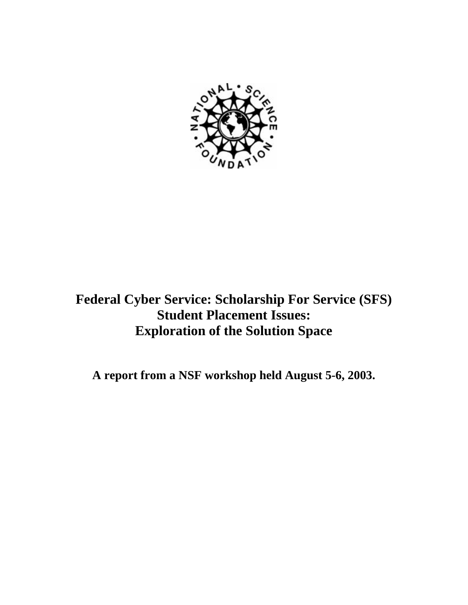

# **Federal Cyber Service: Scholarship For Service (SFS) Student Placement Issues: Exploration of the Solution Space**

**A report from a NSF workshop held August 5-6, 2003.**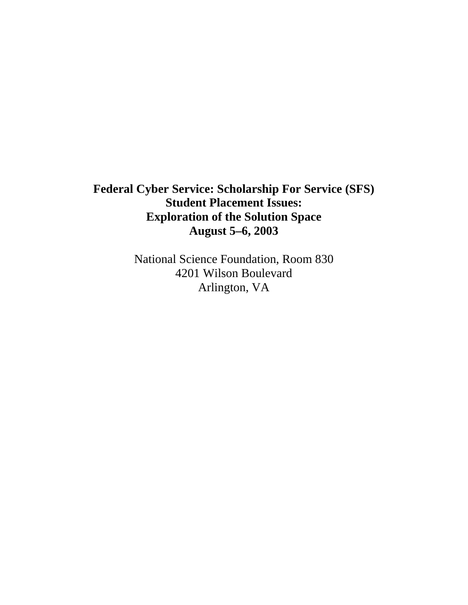## **Federal Cyber Service: Scholarship For Service (SFS) Student Placement Issues: Exploration of the Solution Space August 5–6, 2003**

National Science Foundation, Room 830 4201 Wilson Boulevard Arlington, VA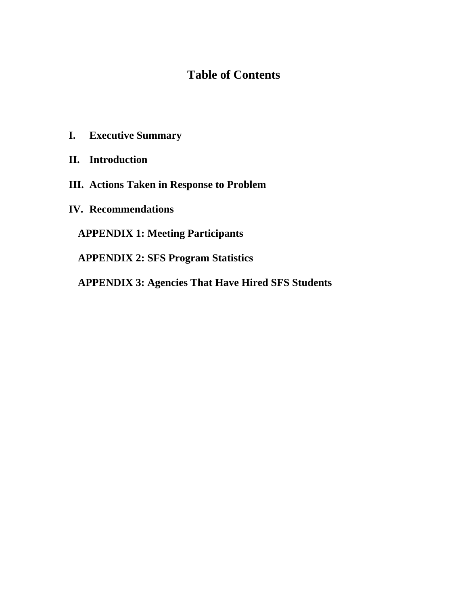## **Table of Contents**

- **I. Executive Summary**
- **II. Introduction**
- **III. Actions Taken in Response to Problem**
- **IV. Recommendations**

**APPENDIX 1: Meeting Participants**

**APPENDIX 2: SFS Program Statistics**

**APPENDIX 3: Agencies That Have Hired SFS Students**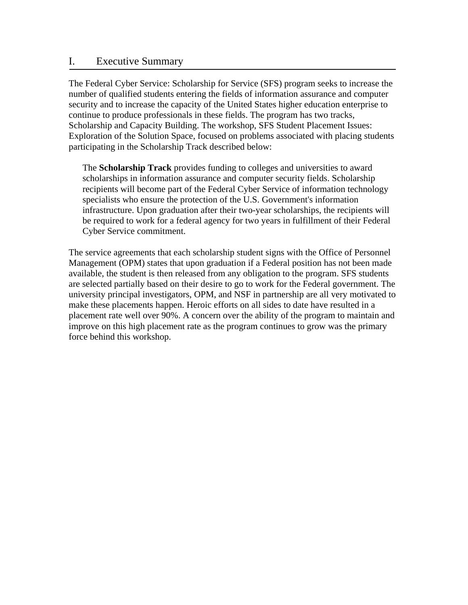## I. Executive Summary

The Federal Cyber Service: Scholarship for Service (SFS) program seeks to increase the number of qualified students entering the fields of information assurance and computer security and to increase the capacity of the United States higher education enterprise to continue to produce professionals in these fields. The program has two tracks, Scholarship and Capacity Building. The workshop, SFS Student Placement Issues: Exploration of the Solution Space, focused on problems associated with placing students participating in the Scholarship Track described below:

The **Scholarship Track** provides funding to colleges and universities to award scholarships in information assurance and computer security fields. Scholarship recipients will become part of the Federal Cyber Service of information technology specialists who ensure the protection of the U.S. Government's information infrastructure. Upon graduation after their two-year scholarships, the recipients will be required to work for a federal agency for two years in fulfillment of their Federal Cyber Service commitment.

The service agreements that each scholarship student signs with the Office of Personnel Management (OPM) states that upon graduation if a Federal position has not been made available, the student is then released from any obligation to the program. SFS students are selected partially based on their desire to go to work for the Federal government. The university principal investigators, OPM, and NSF in partnership are all very motivated to make these placements happen. Heroic efforts on all sides to date have resulted in a placement rate well over 90%. A concern over the ability of the program to maintain and improve on this high placement rate as the program continues to grow was the primary force behind this workshop.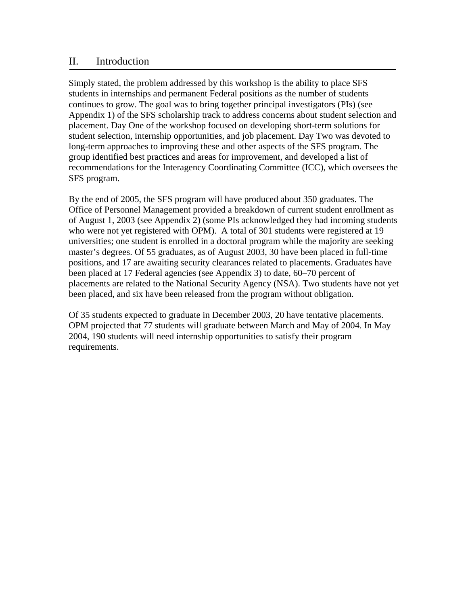## II. Introduction

Simply stated, the problem addressed by this workshop is the ability to place SFS students in internships and permanent Federal positions as the number of students continues to grow. The goal was to bring together principal investigators (PIs) (see Appendix 1) of the SFS scholarship track to address concerns about student selection and placement. Day One of the workshop focused on developing short-term solutions for student selection, internship opportunities, and job placement. Day Two was devoted to long-term approaches to improving these and other aspects of the SFS program. The group identified best practices and areas for improvement, and developed a list of recommendations for the Interagency Coordinating Committee (ICC), which oversees the SFS program.

By the end of 2005, the SFS program will have produced about 350 graduates. The Office of Personnel Management provided a breakdown of current student enrollment as of August 1, 2003 (see Appendix 2) (some PIs acknowledged they had incoming students who were not yet registered with OPM). A total of 301 students were registered at 19 universities; one student is enrolled in a doctoral program while the majority are seeking master's degrees. Of 55 graduates, as of August 2003, 30 have been placed in full-time positions, and 17 are awaiting security clearances related to placements. Graduates have been placed at 17 Federal agencies (see Appendix 3) to date, 60–70 percent of placements are related to the National Security Agency (NSA). Two students have not yet been placed, and six have been released from the program without obligation.

Of 35 students expected to graduate in December 2003, 20 have tentative placements. OPM projected that 77 students will graduate between March and May of 2004. In May 2004, 190 students will need internship opportunities to satisfy their program requirements.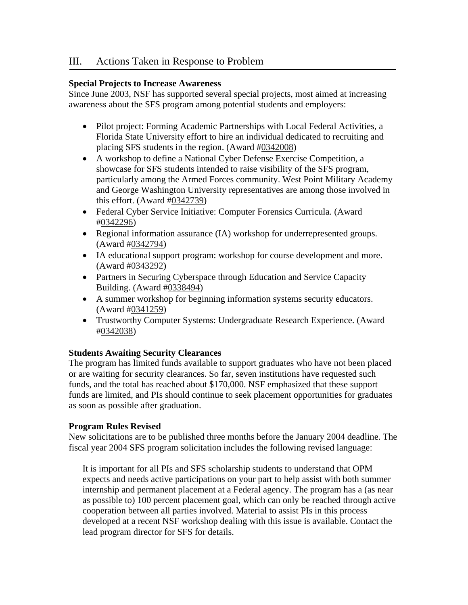## III. Actions Taken in Response to Problem

## **Special Projects to Increase Awareness**

Since June 2003, NSF has supported several special projects, most aimed at increasing awareness about the SFS program among potential students and employers:

- Pilot project: Forming Academic Partnerships with Local Federal Activities, a Florida State University effort to hire an individual dedicated to recruiting and placing SFS students in the region. (Award #0342008)
- A workshop to define a National Cyber Defense Exercise Competition, a showcase for SFS students intended to raise visibility of the SFS program, particularly among the Armed Forces community. West Point Military Academy and George Washington University representatives are among those involved in this effort. (Award #0342739)
- Federal Cyber Service Initiative: Computer Forensics Curricula. (Award #0342296)
- Regional information assurance (IA) workshop for underrepresented groups. (Award #0342794)
- IA educational support program: workshop for course development and more. (Award #0343292)
- Partners in Securing Cyberspace through Education and Service Capacity Building. (Award #0338494)
- A summer workshop for beginning information systems security educators. (Award #0341259)
- Trustworthy Computer Systems: Undergraduate Research Experience. (Award #0342038)

## **Students Awaiting Security Clearances**

The program has limited funds available to support graduates who have not been placed or are waiting for security clearances. So far, seven institutions have requested such funds, and the total has reached about \$170,000. NSF emphasized that these support funds are limited, and PIs should continue to seek placement opportunities for graduates as soon as possible after graduation.

## **Program Rules Revised**

New solicitations are to be published three months before the January 2004 deadline. The fiscal year 2004 SFS program solicitation includes the following revised language:

It is important for all PIs and SFS scholarship students to understand that OPM expects and needs active participations on your part to help assist with both summer internship and permanent placement at a Federal agency. The program has a (as near as possible to) 100 percent placement goal, which can only be reached through active cooperation between all parties involved. Material to assist PIs in this process developed at a recent NSF workshop dealing with this issue is available. Contact the lead program director for SFS for details.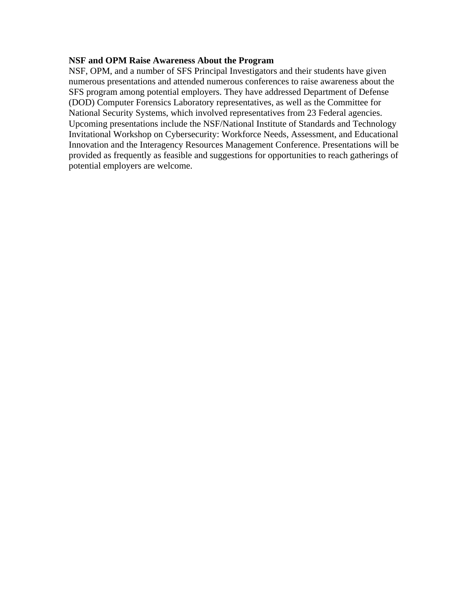#### **NSF and OPM Raise Awareness About the Program**

NSF, OPM, and a number of SFS Principal Investigators and their students have given numerous presentations and attended numerous conferences to raise awareness about the SFS program among potential employers. They have addressed Department of Defense (DOD) Computer Forensics Laboratory representatives, as well as the Committee for National Security Systems, which involved representatives from 23 Federal agencies. Upcoming presentations include the NSF/National Institute of Standards and Technology Invitational Workshop on Cybersecurity: Workforce Needs, Assessment, and Educational Innovation and the Interagency Resources Management Conference. Presentations will be provided as frequently as feasible and suggestions for opportunities to reach gatherings of potential employers are welcome.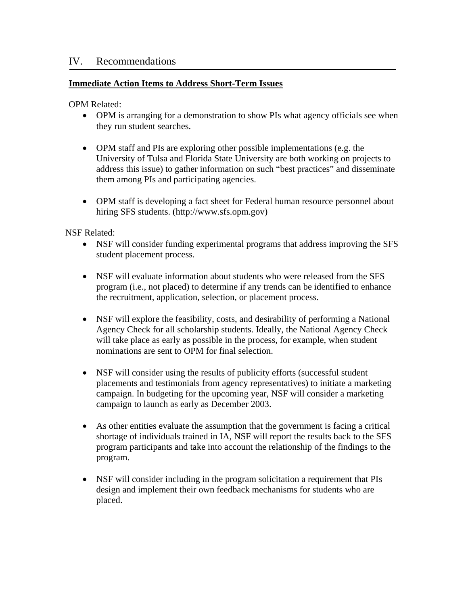## **Immediate Action Items to Address Short-Term Issues**

OPM Related:

Ī

- OPM is arranging for a demonstration to show PIs what agency officials see when they run student searches.
- OPM staff and PIs are exploring other possible implementations (e.g. the University of Tulsa and Florida State University are both working on projects to address this issue) to gather information on such "best practices" and disseminate them among PIs and participating agencies.
- OPM staff is developing a fact sheet for Federal human resource personnel about hiring SFS students. ([http://www.sfs.opm.gov\)](http://www.sfs.opm.gov)

NSF Related:

- NSF will consider funding experimental programs that address improving the SFS student placement process.
- NSF will evaluate information about students who were released from the SFS program (i.e., not placed) to determine if any trends can be identified to enhance the recruitment, application, selection, or placement process.
- NSF will explore the feasibility, costs, and desirability of performing a National Agency Check for all scholarship students. Ideally, the National Agency Check will take place as early as possible in the process, for example, when student nominations are sent to OPM for final selection.
- NSF will consider using the results of publicity efforts (successful student placements and testimonials from agency representatives) to initiate a marketing campaign. In budgeting for the upcoming year, NSF will consider a marketing campaign to launch as early as December 2003.
- As other entities evaluate the assumption that the government is facing a critical shortage of individuals trained in IA, NSF will report the results back to the SFS program participants and take into account the relationship of the findings to the program.
- NSF will consider including in the program solicitation a requirement that PIs design and implement their own feedback mechanisms for students who are placed.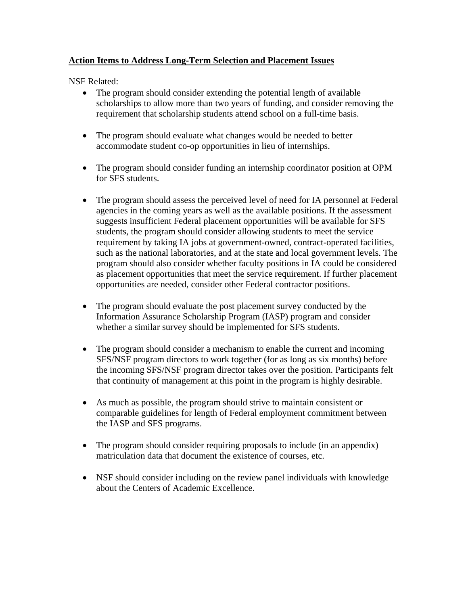## **Action Items to Address Long-Term Selection and Placement Issues**

NSF Related:

- The program should consider extending the potential length of available scholarships to allow more than two years of funding, and consider removing the requirement that scholarship students attend school on a full-time basis.
- The program should evaluate what changes would be needed to better accommodate student co-op opportunities in lieu of internships.
- The program should consider funding an internship coordinator position at OPM for SFS students.
- The program should assess the perceived level of need for IA personnel at Federal agencies in the coming years as well as the available positions. If the assessment suggests insufficient Federal placement opportunities will be available for SFS students, the program should consider allowing students to meet the service requirement by taking IA jobs at government-owned, contract-operated facilities, such as the national laboratories, and at the state and local government levels. The program should also consider whether faculty positions in IA could be considered as placement opportunities that meet the service requirement. If further placement opportunities are needed, consider other Federal contractor positions.
- The program should evaluate the post placement survey conducted by the Information Assurance Scholarship Program (IASP) program and consider whether a similar survey should be implemented for SFS students.
- The program should consider a mechanism to enable the current and incoming SFS/NSF program directors to work together (for as long as six months) before the incoming SFS/NSF program director takes over the position. Participants felt that continuity of management at this point in the program is highly desirable.
- As much as possible, the program should strive to maintain consistent or comparable guidelines for length of Federal employment commitment between the IASP and SFS programs.
- The program should consider requiring proposals to include (in an appendix) matriculation data that document the existence of courses, etc.
- NSF should consider including on the review panel individuals with knowledge about the Centers of Academic Excellence.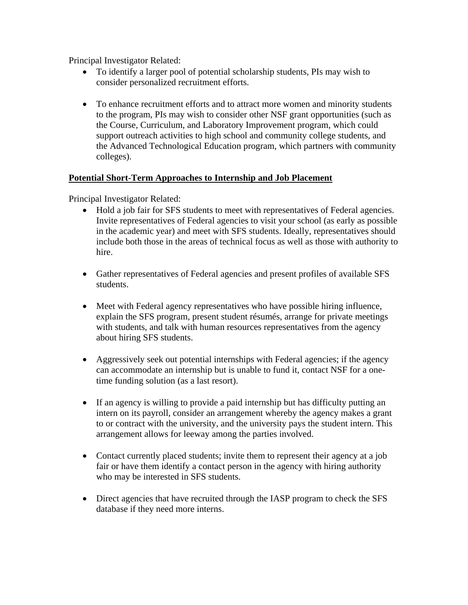Principal Investigator Related:

- To identify a larger pool of potential scholarship students, PIs may wish to consider personalized recruitment efforts.
- To enhance recruitment efforts and to attract more women and minority students to the program, PIs may wish to consider other NSF grant opportunities (such as the Course, Curriculum, and Laboratory Improvement program, which could support outreach activities to high school and community college students, and the Advanced Technological Education program, which partners with community colleges).

## **Potential Short-Term Approaches to Internship and Job Placement**

Principal Investigator Related:

- Hold a job fair for SFS students to meet with representatives of Federal agencies. Invite representatives of Federal agencies to visit your school (as early as possible in the academic year) and meet with SFS students. Ideally, representatives should include both those in the areas of technical focus as well as those with authority to hire.
- Gather representatives of Federal agencies and present profiles of available SFS students.
- Meet with Federal agency representatives who have possible hiring influence, explain the SFS program, present student résumés, arrange for private meetings with students, and talk with human resources representatives from the agency about hiring SFS students.
- Aggressively seek out potential internships with Federal agencies; if the agency can accommodate an internship but is unable to fund it, contact NSF for a onetime funding solution (as a last resort).
- If an agency is willing to provide a paid internship but has difficulty putting an intern on its payroll, consider an arrangement whereby the agency makes a grant to or contract with the university, and the university pays the student intern. This arrangement allows for leeway among the parties involved.
- Contact currently placed students; invite them to represent their agency at a job fair or have them identify a contact person in the agency with hiring authority who may be interested in SFS students.
- Direct agencies that have recruited through the IASP program to check the SFS database if they need more interns.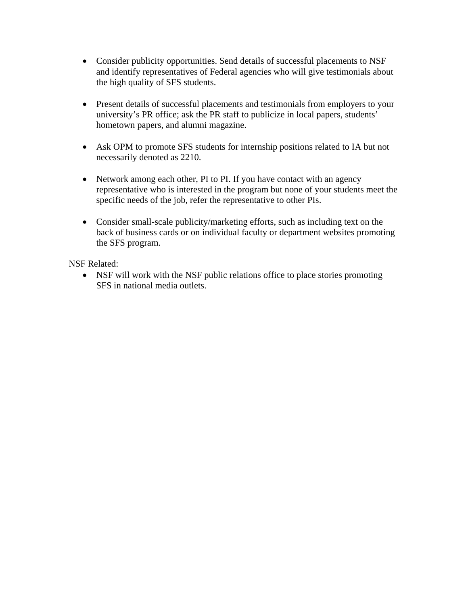- Consider publicity opportunities. Send details of successful placements to NSF and identify representatives of Federal agencies who will give testimonials about the high quality of SFS students.
- Present details of successful placements and testimonials from employers to your university's PR office; ask the PR staff to publicize in local papers, students' hometown papers, and alumni magazine.
- Ask OPM to promote SFS students for internship positions related to IA but not necessarily denoted as 2210.
- Network among each other, PI to PI. If you have contact with an agency representative who is interested in the program but none of your students meet the specific needs of the job, refer the representative to other PIs.
- Consider small-scale publicity/marketing efforts, such as including text on the back of business cards or on individual faculty or department websites promoting the SFS program.

NSF Related:

• NSF will work with the NSF public relations office to place stories promoting SFS in national media outlets.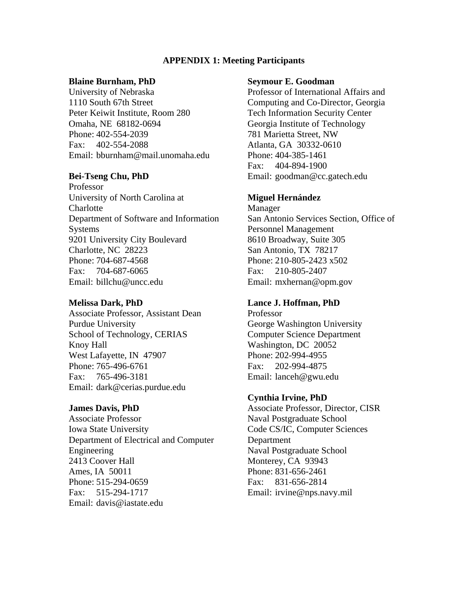#### **APPENDIX 1: Meeting Participants**

#### **Blaine Burnham, PhD**

University of Nebraska 1110 South 67th Street Peter Keiwit Institute, Room 280 Omaha, NE 68182-0694 Phone: 402-554-2039 Fax: 402-554-2088 Email: [bburnham@mail.unomaha.edu](mailto:bburnham@mail.unomaha.edu) 

#### **Bei-Tseng Chu, PhD**

Professor University of North Carolina at **Charlotte** Department of Software and Information Systems 9201 University City Boulevard Charlotte, NC 28223 Phone: 704-687-4568 Fax: 704-687-6065 Email: [billchu@uncc.edu](mailto:billchu@uncc.edu) 

#### **Melissa Dark, PhD**

Associate Professor, Assistant Dean Purdue University School of Technology, CERIAS Knoy Hall West Lafayette, IN 47907 Phone: 765-496-6761 Fax: 765-496-3181 Email: [dark@cerias.purdue.edu](mailto:dark@cerias.purdue.edu) 

#### **James Davis, PhD**

Associate Professor Iowa State University Department of Electrical and Computer Engineering 2413 Coover Hall Ames, IA 50011 Phone: 515-294-0659 Fax: 515-294-1717 Email[: davis@iastate.edu](mailto:davis@iastate.edu) 

#### **Seymour E. Goodman**

Professor of International Affairs and Computing and Co-Director, Georgia Tech Information Security Center Georgia Institute of Technology 781 Marietta Street, NW Atlanta, GA 30332-0610 Phone: 404-385-1461 Fax: 404-894-1900 Email: [goodman@cc.gatech.edu](mailto:goodman@cc.gatech.edu) 

#### **Miguel Hernández**

Manager San Antonio Services Section, Office of Personnel Management 8610 Broadway, Suite 305 San Antonio, TX 78217 Phone: 210-805-2423 x502 Fax: 210-805-2407 Email: [mxhernan@opm.gov](mailto:mxhernan@opm.gov) 

#### **Lance J. Hoffman, PhD**

Professor George Washington University Computer Science Department Washington, DC 20052 Phone: 202-994-4955 Fax: 202-994-4875 Email: [lanceh@gwu.edu](mailto:lanceh@gwu.edu) 

#### **Cynthia Irvine, PhD**

Associate Professor, Director, CISR Naval Postgraduate School Code CS/IC, Computer Sciences Department Naval Postgraduate School Monterey, CA 93943 Phone: 831-656-2461 Fax: 831-656-2814 Email: [irvine@nps.navy.mil](mailto:irvine@nps.navy.mil)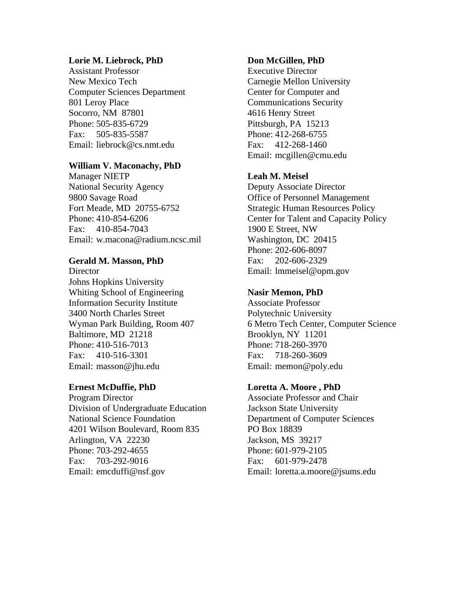#### **Lorie M. Liebrock, PhD**

Assistant Professor New Mexico Tech Computer Sciences Department 801 Leroy Place Socorro, NM 87801 Phone: 505-835-6729 Fax: 505-835-5587 Email: [liebrock@cs.nmt.edu](mailto:liebrock@cs.nmt.edu) 

## **William V. Maconachy, PhD**

Manager NIETP National Security Agency 9800 Savage Road Fort Meade, MD 20755-6752 Phone: 410-854-6206 Fax: 410-854-7043 Email: [w.macona@radium.ncsc.mil](mailto:w.macona@radium.ncsc.mil) 

## **Gerald M. Masson, PhD**

**Director** Johns Hopkins University Whiting School of Engineering Information Security Institute 3400 North Charles Street Wyman Park Building, Room 407 Baltimore, MD 21218 Phone: 410-516-7013 Fax: 410-516-3301 Email: [masson@jhu.edu](mailto:masson@jhu.edu) 

## **Ernest McDuffie, PhD**

Program Director Division of Undergraduate Education National Science Foundation 4201 Wilson Boulevard, Room 835 Arlington, VA 22230 Phone: 703-292-4655 Fax: 703-292-9016 Email[: emcduffi@nsf.gov](mailto:emcduffi@nsf.gov) 

## **Don McGillen, PhD**

Executive Director Carnegie Mellon University Center for Computer and Communications Security 4616 Henry Street Pittsburgh, PA 15213 Phone: 412-268-6755 Fax: 412-268-1460 Email: [mcgillen@cmu.edu](mailto:mcgillen@cmu.edu) 

## **Leah M. Meisel**

Deputy Associate Director Office of Personnel Management Strategic Human Resources Policy Center for Talent and Capacity Policy 1900 E Street, NW Washington, DC 20415 Phone: 202-606-8097 Fax: 202-606-2329 Email: [lmmeisel@opm.gov](mailto:lmmeisel@opm.gov)

## **Nasir Memon, PhD**

Associate Professor Polytechnic University 6 Metro Tech Center, Computer Science Brooklyn, NY 11201 Phone: 718-260-3970 Fax: 718-260-3609 Email: [memon@poly.edu](mailto:memon@poly.edu) 

## **Loretta A. Moore , PhD**

Associate Professor and Chair Jackson State University Department of Computer Sciences PO Box 18839 Jackson, MS 39217 Phone: 601-979-2105 Fax: 601-979-2478 Email: [loretta.a.moore@jsums.edu](mailto:loretta.a.moore@jsums.edu)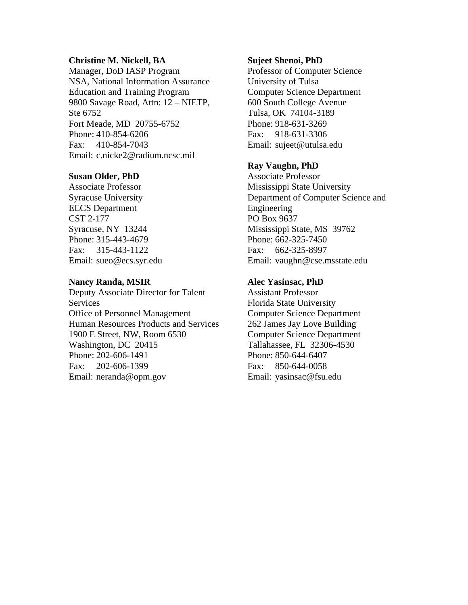## **Christine M. Nickell, BA**

Manager, DoD IASP Program NSA, National Information Assurance Education and Training Program 9800 Savage Road, Attn: 12 – NIETP, Ste 6752 Fort Meade, MD 20755-6752 Phone: 410-854-6206 Fax: 410-854-7043 Email: [c.nicke2@radium.ncsc.mil](mailto:c.nicke2@radium.ncsc.mil) 

#### **Susan Older, PhD**

Associate Professor Syracuse University EECS Department CST 2-177 Syracuse, NY 13244 Phone: 315-443-4679 Fax: 315-443-1122 Email: [sueo@ecs.syr.edu](mailto:sueo@ecs.syr.edu) 

#### **Nancy Randa, MSIR**

Deputy Associate Director for Talent Services Office of Personnel Management Human Resources Products and Services 1900 E Street, NW, Room 6530 Washington, DC 20415 Phone: 202-606-1491 Fax: 202-606-1399 Email: [neranda@opm.gov](mailto:neranda@opm.gov) 

#### **Sujeet Shenoi, PhD**

Professor of Computer Science University of Tulsa Computer Science Department 600 South College Avenue Tulsa, OK 74104-3189 Phone: 918-631-3269 Fax: 918-631-3306 Email: [sujeet@utulsa.edu](mailto:sujeet@utulsa.edu) 

## **Ray Vaughn, PhD**

Associate Professor Mississippi State University Department of Computer Science and Engineering PO Box 9637 Mississippi State, MS 39762 Phone: 662-325-7450 Fax: 662-325-8997 Email: [vaughn@cse.msstate.edu](mailto:vaughn@cse.msstate.edu) 

## **Alec Yasinsac, PhD**

Assistant Professor Florida State University Computer Science Department 262 James Jay Love Building Computer Science Department Tallahassee, FL 32306-4530 Phone: 850-644-6407 Fax: 850-644-0058 Email: [yasinsac@fsu.edu](mailto:yasinsac@fsu.edu)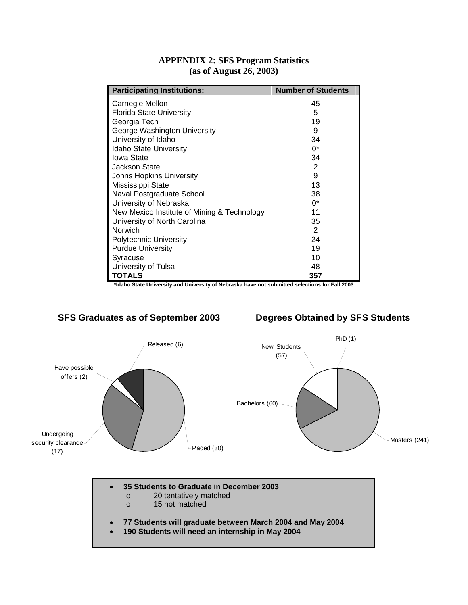| <b>Participating Institutions:</b>                                                                              | <b>Number of Students</b> |  |
|-----------------------------------------------------------------------------------------------------------------|---------------------------|--|
| Carnegie Mellon                                                                                                 | 45                        |  |
| <b>Florida State University</b>                                                                                 | 5                         |  |
| Georgia Tech                                                                                                    | 19                        |  |
| George Washington University                                                                                    | 9                         |  |
| University of Idaho                                                                                             | 34                        |  |
| Idaho State University                                                                                          | $0^*$                     |  |
| Iowa State                                                                                                      | 34                        |  |
| Jackson State                                                                                                   | 2                         |  |
| <b>Johns Hopkins University</b>                                                                                 | 9                         |  |
| Mississippi State                                                                                               | 13                        |  |
| Naval Postgraduate School                                                                                       | 38                        |  |
| University of Nebraska                                                                                          | $0^*$                     |  |
| New Mexico Institute of Mining & Technology                                                                     | 11                        |  |
| University of North Carolina                                                                                    | 35                        |  |
| Norwich                                                                                                         | 2                         |  |
| <b>Polytechnic University</b>                                                                                   | 24                        |  |
| <b>Purdue University</b>                                                                                        | 19                        |  |
| Syracuse                                                                                                        | 10                        |  |
| University of Tulsa                                                                                             | 48                        |  |
| <b>TOTALS</b><br>talebo Rtoto University and University of Nebroake hove not submitted coloctions for Foll 2002 | 357                       |  |

## **APPENDIX 2: SFS Program Statistics (as of August 26, 2003)**

**\*Idaho State University and University of Nebraska have not submitted selections for Fall 2003**

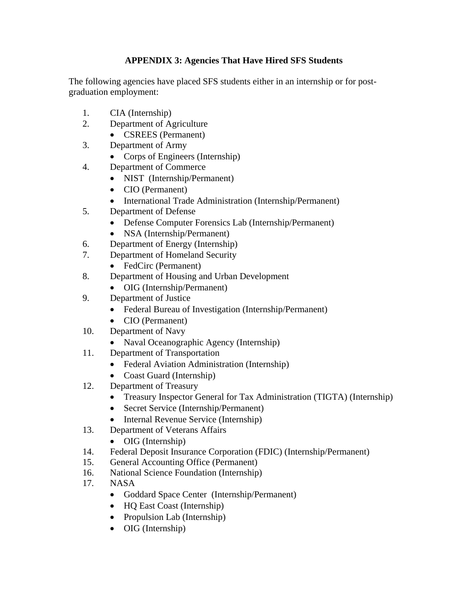## **APPENDIX 3: Agencies That Have Hired SFS Students**

The following agencies have placed SFS students either in an internship or for postgraduation employment:

- 1. CIA (Internship)
- 2. Department of Agriculture
	- CSREES (Permanent)
- 3. Department of Army
	- Corps of Engineers (Internship)
- 4. Department of Commerce
	- NIST (Internship/Permanent)
	- CIO (Permanent)
	- International Trade Administration (Internship/Permanent)
- 5. Department of Defense
	- Defense Computer Forensics Lab (Internship/Permanent)
	- NSA (Internship/Permanent)
- 6. Department of Energy (Internship)
- 7. Department of Homeland Security
	- FedCirc (Permanent)
- 8. Department of Housing and Urban Development
	- OIG (Internship/Permanent)
- 9. Department of Justice
	- Federal Bureau of Investigation (Internship/Permanent)
	- CIO (Permanent)
- 10. Department of Navy
	- Naval Oceanographic Agency (Internship)
- 11. Department of Transportation
	- Federal Aviation Administration (Internship)
	- Coast Guard (Internship)
- 12. Department of Treasury
	- Treasury Inspector General for Tax Administration (TIGTA) (Internship)
	- Secret Service (Internship/Permanent)
	- Internal Revenue Service (Internship)
- 13. Department of Veterans Affairs
	- OIG (Internship)
- 14. Federal Deposit Insurance Corporation (FDIC) (Internship/Permanent)
- 15. General Accounting Office (Permanent)
- 16. National Science Foundation (Internship)
- 17. NASA
	- Goddard Space Center (Internship/Permanent)
	- HQ East Coast (Internship)
	- Propulsion Lab (Internship)
	- OIG (Internship)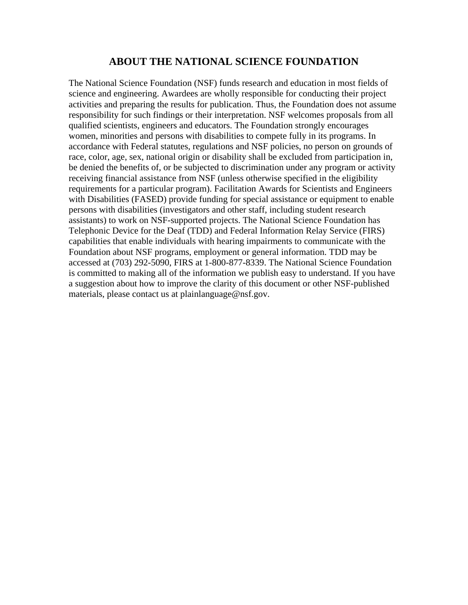## **ABOUT THE NATIONAL SCIENCE FOUNDATION**

The National Science Foundation (NSF) funds research and education in most fields of science and engineering. Awardees are wholly responsible for conducting their project activities and preparing the results for publication. Thus, the Foundation does not assume responsibility for such findings or their interpretation. NSF welcomes proposals from all qualified scientists, engineers and educators. The Foundation strongly encourages women, minorities and persons with disabilities to compete fully in its programs. In accordance with Federal statutes, regulations and NSF policies, no person on grounds of race, color, age, sex, national origin or disability shall be excluded from participation in, be denied the benefits of, or be subjected to discrimination under any program or activity receiving financial assistance from NSF (unless otherwise specified in the eligibility requirements for a particular program). Facilitation Awards for Scientists and Engineers with Disabilities (FASED) provide funding for special assistance or equipment to enable persons with disabilities (investigators and other staff, including student research assistants) to work on NSF-supported projects. The National Science Foundation has Telephonic Device for the Deaf (TDD) and Federal Information Relay Service (FIRS) capabilities that enable individuals with hearing impairments to communicate with the Foundation about NSF programs, employment or general information. TDD may be accessed at (703) 292-5090, FIRS at 1-800-877-8339. The National Science Foundation is committed to making all of the information we publish easy to understand. If you have a suggestion about how to improve the clarity of this document or other NSF-published materials, please contact us at [plainlanguage@nsf.gov.](mailto:plainlanguage@nsf.gov)